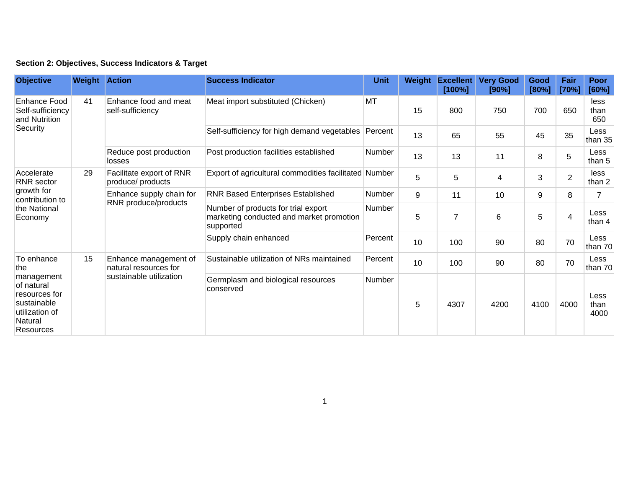| Section 2: Objectives, Success Indicators & Target |  |  |  |  |  |  |
|----------------------------------------------------|--|--|--|--|--|--|
|----------------------------------------------------|--|--|--|--|--|--|

| <b>Objective</b>                                                                                                               | <b>Weight Action</b> |                                                                           | <b>Success Indicator</b>                                                                     | <b>Unit</b>                                           | Weight | <b>Excellent</b><br>[100%] | <b>Very Good</b><br>[90%] | Good<br>[80%]           | Fair<br>[70%] | Poor<br>[60%]          |                |
|--------------------------------------------------------------------------------------------------------------------------------|----------------------|---------------------------------------------------------------------------|----------------------------------------------------------------------------------------------|-------------------------------------------------------|--------|----------------------------|---------------------------|-------------------------|---------------|------------------------|----------------|
| <b>Enhance Food</b><br>Self-sufficiency<br>and Nutrition<br>Security                                                           | 41                   | Enhance food and meat<br>self-sufficiency                                 | Meat import substituted (Chicken)                                                            | MT                                                    | 15     | 800                        | 750                       | 700                     | 650           | less<br>than<br>650    |                |
|                                                                                                                                |                      |                                                                           | Self-sufficiency for high demand vegetables                                                  | Percent                                               | 13     | 65                         | 55                        | 45                      | 35            | Less<br>than 35        |                |
|                                                                                                                                |                      | Reduce post production<br>losses                                          | Post production facilities established                                                       | <b>Number</b>                                         | 13     | 13                         | 11                        | 8                       | 5             | Less<br>than 5         |                |
| Accelerate<br><b>RNR</b> sector<br>growth for<br>contribution to<br>the National<br>Economy                                    | 29                   |                                                                           | Facilitate export of RNR<br>produce/ products                                                | Export of agricultural commodities facilitated Number |        | 5                          | 5                         | $\overline{\mathbf{4}}$ | 3             | $\overline{2}$         | less<br>than 2 |
|                                                                                                                                |                      | Enhance supply chain for<br>RNR produce/products                          | <b>RNR Based Enterprises Established</b>                                                     | <b>Number</b>                                         | 9      | 11                         | 10                        | 9                       | 8             |                        |                |
|                                                                                                                                |                      |                                                                           | Number of products for trial export<br>marketing conducted and market promotion<br>supported | Number                                                | 5      | 7                          | $\,6$                     | 5                       | 4             | Less<br>than 4         |                |
|                                                                                                                                |                      |                                                                           | Supply chain enhanced                                                                        | Percent                                               | 10     | 100                        | 90                        | 80                      | 70            | <b>Less</b><br>than 70 |                |
| To enhance<br>the<br>management<br>of natural<br>resources for<br>sustainable<br>utilization of<br>Natural<br><b>Resources</b> | 15                   | Enhance management of<br>natural resources for<br>sustainable utilization | Sustainable utilization of NRs maintained                                                    | Percent                                               | 10     | 100                        | 90                        | 80                      | 70            | <b>Less</b><br>than 70 |                |
|                                                                                                                                |                      |                                                                           | Germplasm and biological resources<br>conserved                                              | Number                                                | 5      | 4307                       | 4200                      | 4100                    | 4000          | Less<br>than<br>4000   |                |